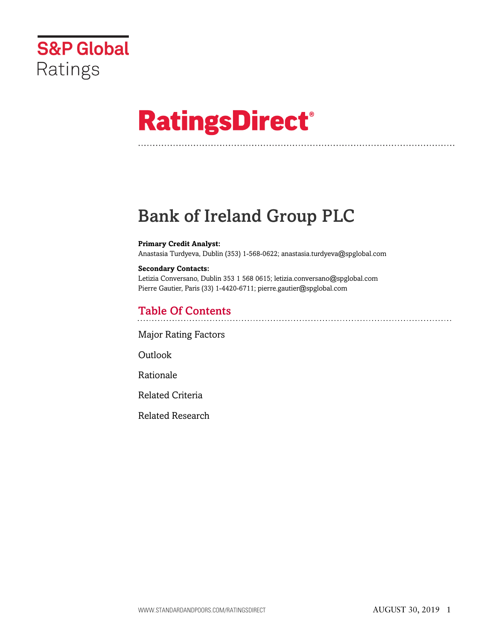

# **RatingsDirect®**

# Bank of Ireland Group PLC

#### **Primary Credit Analyst:**

Anastasia Turdyeva, Dublin (353) 1-568-0622; anastasia.turdyeva@spglobal.com

#### **Secondary Contacts:**

Letizia Conversano, Dublin 353 1 568 0615; letizia.conversano@spglobal.com Pierre Gautier, Paris (33) 1-4420-6711; pierre.gautier@spglobal.com

## Table Of Contents

[Major Rating Factors](#page-1-0)

Outlook

[Rationale](#page-2-0)

[Related Criteria](#page-12-0)

[Related Research](#page-13-0)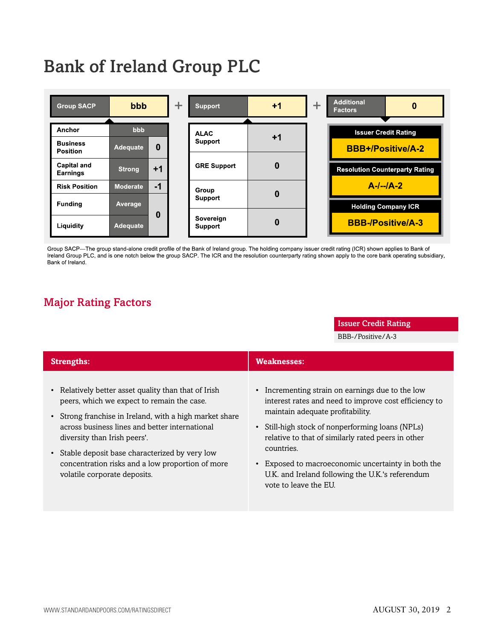# Bank of Ireland Group PLC



Group SACP-The group stand-alone credit profile of the Bank of Ireland group. The holding company issuer credit rating (ICR) shown applies to Bank of Ireland Group PLC, and is one notch below the group SACP. The ICR and the resolution counterparty rating shown apply to the core bank operating subsidiary, Bank of Ireland.

# <span id="page-1-0"></span>Major Rating Factors

#### Issuer Credit Rating

BBB-/Positive/A-3

| <b>Strengths:</b>                                     | <b>Weaknesses:</b>                                    |
|-------------------------------------------------------|-------------------------------------------------------|
| Relatively better asset quality than that of Irish    | • Incrementing strain on earnings due to the low      |
| peers, which we expect to remain the case.            | interest rates and need to improve cost efficiency to |
| Strong franchise in Ireland, with a high market share | maintain adequate profitability.                      |
| across business lines and better international        | • Still-high stock of nonperforming loans (NPLs)      |
| diversity than Irish peers'.                          | relative to that of similarly rated peers in other    |
| Stable deposit base characterized by very low         | countries.                                            |
| $\bullet$                                             | Exposed to macroeconomic uncertainty in both the      |
| concentration risks and a low proportion of more      | U.K. and Ireland following the U.K.'s referendum      |
| volatile corporate deposits.                          | vote to leave the EU.                                 |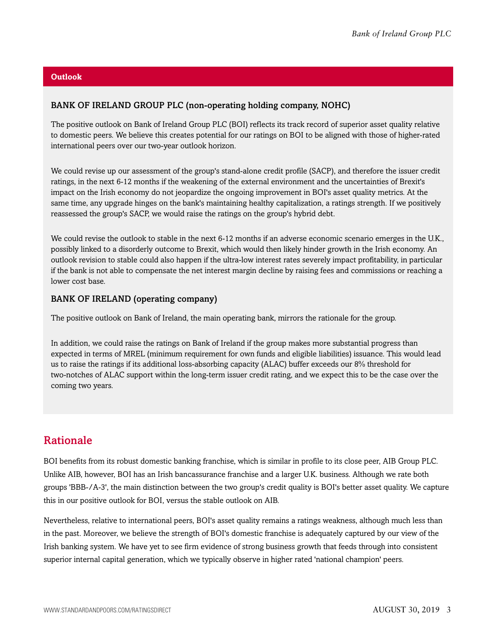#### **Outlook**

#### BANK OF IRELAND GROUP PLC (non-operating holding company, NOHC)

The positive outlook on Bank of Ireland Group PLC (BOI) reflects its track record of superior asset quality relative to domestic peers. We believe this creates potential for our ratings on BOI to be aligned with those of higher-rated international peers over our two-year outlook horizon.

We could revise up our assessment of the group's stand-alone credit profile (SACP), and therefore the issuer credit ratings, in the next 6-12 months if the weakening of the external environment and the uncertainties of Brexit's impact on the Irish economy do not jeopardize the ongoing improvement in BOI's asset quality metrics. At the same time, any upgrade hinges on the bank's maintaining healthy capitalization, a ratings strength. If we positively reassessed the group's SACP, we would raise the ratings on the group's hybrid debt.

We could revise the outlook to stable in the next 6-12 months if an adverse economic scenario emerges in the U.K., possibly linked to a disorderly outcome to Brexit, which would then likely hinder growth in the Irish economy. An outlook revision to stable could also happen if the ultra-low interest rates severely impact profitability, in particular if the bank is not able to compensate the net interest margin decline by raising fees and commissions or reaching a lower cost base.

#### BANK OF IRELAND (operating company)

The positive outlook on Bank of Ireland, the main operating bank, mirrors the rationale for the group.

In addition, we could raise the ratings on Bank of Ireland if the group makes more substantial progress than expected in terms of MREL (minimum requirement for own funds and eligible liabilities) issuance. This would lead us to raise the ratings if its additional loss-absorbing capacity (ALAC) buffer exceeds our 8% threshold for two-notches of ALAC support within the long-term issuer credit rating, and we expect this to be the case over the coming two years.

# <span id="page-2-0"></span>Rationale

BOI benefits from its robust domestic banking franchise, which is similar in profile to its close peer, AIB Group PLC. Unlike AIB, however, BOI has an Irish bancassurance franchise and a larger U.K. business. Although we rate both groups 'BBB-/A-3', the main distinction between the two group's credit quality is BOI's better asset quality. We capture this in our positive outlook for BOI, versus the stable outlook on AIB.

Nevertheless, relative to international peers, BOI's asset quality remains a ratings weakness, although much less than in the past. Moreover, we believe the strength of BOI's domestic franchise is adequately captured by our view of the Irish banking system. We have yet to see firm evidence of strong business growth that feeds through into consistent superior internal capital generation, which we typically observe in higher rated 'national champion' peers.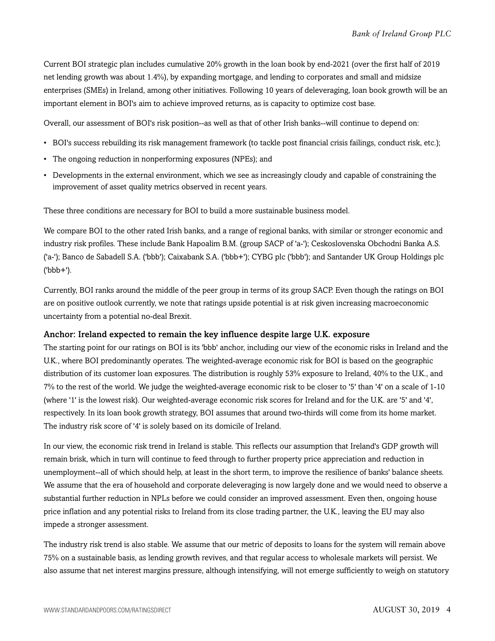Current BOI strategic plan includes cumulative 20% growth in the loan book by end-2021 (over the first half of 2019 net lending growth was about 1.4%), by expanding mortgage, and lending to corporates and small and midsize enterprises (SMEs) in Ireland, among other initiatives. Following 10 years of deleveraging, loan book growth will be an important element in BOI's aim to achieve improved returns, as is capacity to optimize cost base.

Overall, our assessment of BOI's risk position--as well as that of other Irish banks--will continue to depend on:

- BOI's success rebuilding its risk management framework (to tackle post financial crisis failings, conduct risk, etc.);
- The ongoing reduction in nonperforming exposures (NPEs); and
- Developments in the external environment, which we see as increasingly cloudy and capable of constraining the improvement of asset quality metrics observed in recent years.

These three conditions are necessary for BOI to build a more sustainable business model.

We compare BOI to the other rated Irish banks, and a range of regional banks, with similar or stronger economic and industry risk profiles. These include Bank Hapoalim B.M. (group SACP of 'a-'); Ceskoslovenska Obchodni Banka A.S. ('a-'); Banco de Sabadell S.A. ('bbb'); Caixabank S.A. ('bbb+'); CYBG plc ('bbb'); and Santander UK Group Holdings plc ('bbb+').

Currently, BOI ranks around the middle of the peer group in terms of its group SACP. Even though the ratings on BOI are on positive outlook currently, we note that ratings upside potential is at risk given increasing macroeconomic uncertainty from a potential no-deal Brexit.

#### Anchor: Ireland expected to remain the key influence despite large U.K. exposure

The starting point for our ratings on BOI is its 'bbb' anchor, including our view of the economic risks in Ireland and the U.K., where BOI predominantly operates. The weighted-average economic risk for BOI is based on the geographic distribution of its customer loan exposures. The distribution is roughly 53% exposure to Ireland, 40% to the U.K., and 7% to the rest of the world. We judge the weighted-average economic risk to be closer to '5' than '4' on a scale of 1-10 (where '1' is the lowest risk). Our weighted-average economic risk scores for Ireland and for the U.K. are '5' and '4', respectively. In its loan book growth strategy, BOI assumes that around two-thirds will come from its home market. The industry risk score of '4' is solely based on its domicile of Ireland.

In our view, the economic risk trend in Ireland is stable. This reflects our assumption that Ireland's GDP growth will remain brisk, which in turn will continue to feed through to further property price appreciation and reduction in unemployment--all of which should help, at least in the short term, to improve the resilience of banks' balance sheets. We assume that the era of household and corporate deleveraging is now largely done and we would need to observe a substantial further reduction in NPLs before we could consider an improved assessment. Even then, ongoing house price inflation and any potential risks to Ireland from its close trading partner, the U.K., leaving the EU may also impede a stronger assessment.

The industry risk trend is also stable. We assume that our metric of deposits to loans for the system will remain above 75% on a sustainable basis, as lending growth revives, and that regular access to wholesale markets will persist. We also assume that net interest margins pressure, although intensifying, will not emerge sufficiently to weigh on statutory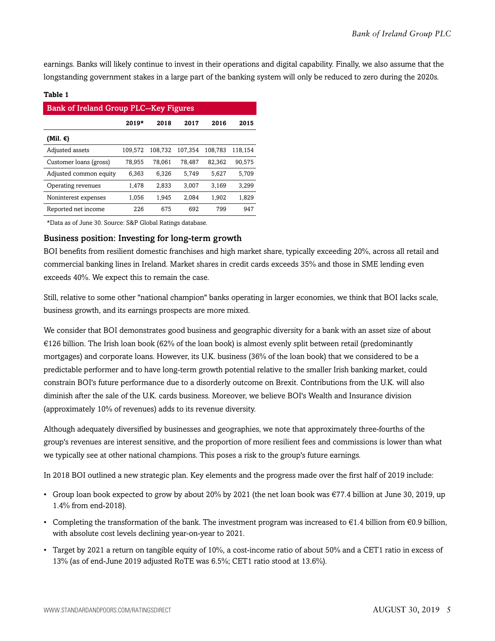earnings. Banks will likely continue to invest in their operations and digital capability. Finally, we also assume that the longstanding government stakes in a large part of the banking system will only be reduced to zero during the 2020s.

#### **Table 1**

| <b>Bank of Ireland Group PLC--Key Figures</b> |         |         |         |         |         |  |  |
|-----------------------------------------------|---------|---------|---------|---------|---------|--|--|
|                                               | $2019*$ | 2018    | 2017    | 2016    | 2015    |  |  |
| (Mil. €)                                      |         |         |         |         |         |  |  |
| Adjusted assets                               | 109,572 | 108,732 | 107.354 | 108,783 | 118,154 |  |  |
| Customer loans (gross)                        | 78,955  | 78,061  | 78,487  | 82,362  | 90,575  |  |  |
| Adjusted common equity                        | 6,363   | 6,326   | 5,749   | 5.627   | 5,709   |  |  |
| Operating revenues                            | 1,478   | 2,833   | 3.007   | 3.169   | 3,299   |  |  |
| Noninterest expenses                          | 1,056   | 1,945   | 2.084   | 1,902   | 1,829   |  |  |
| Reported net income                           | 226     | 675     | 692     | 799     | 947     |  |  |

\*Data as of June 30. Source: S&P Global Ratings database.

#### Business position: Investing for long-term growth

BOI benefits from resilient domestic franchises and high market share, typically exceeding 20%, across all retail and commercial banking lines in Ireland. Market shares in credit cards exceeds 35% and those in SME lending even exceeds 40%. We expect this to remain the case.

Still, relative to some other "national champion" banks operating in larger economies, we think that BOI lacks scale, business growth, and its earnings prospects are more mixed.

We consider that BOI demonstrates good business and geographic diversity for a bank with an asset size of about €126 billion. The Irish loan book (62% of the loan book) is almost evenly split between retail (predominantly mortgages) and corporate loans. However, its U.K. business (36% of the loan book) that we considered to be a predictable performer and to have long-term growth potential relative to the smaller Irish banking market, could constrain BOI's future performance due to a disorderly outcome on Brexit. Contributions from the U.K. will also diminish after the sale of the U.K. cards business. Moreover, we believe BOI's Wealth and Insurance division (approximately 10% of revenues) adds to its revenue diversity.

Although adequately diversified by businesses and geographies, we note that approximately three-fourths of the group's revenues are interest sensitive, and the proportion of more resilient fees and commissions is lower than what we typically see at other national champions. This poses a risk to the group's future earnings.

In 2018 BOI outlined a new strategic plan. Key elements and the progress made over the first half of 2019 include:

- Group loan book expected to grow by about 20% by 2021 (the net loan book was  $\epsilon$ 77.4 billion at June 30, 2019, up 1.4% from end-2018).
- Completing the transformation of the bank. The investment program was increased to  $\epsilon$ 1.4 billion from  $\epsilon$ 0.9 billion, with absolute cost levels declining year-on-year to 2021.
- Target by 2021 a return on tangible equity of 10%, a cost-income ratio of about 50% and a CET1 ratio in excess of 13% (as of end-June 2019 adjusted RoTE was 6.5%; CET1 ratio stood at 13.6%).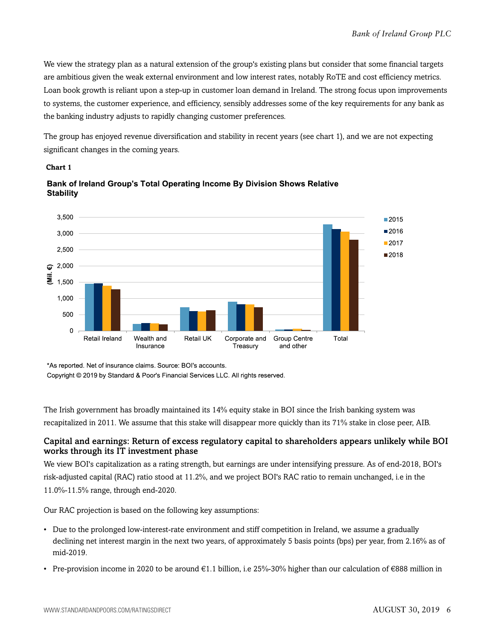We view the strategy plan as a natural extension of the group's existing plans but consider that some financial targets are ambitious given the weak external environment and low interest rates, notably RoTE and cost efficiency metrics. Loan book growth is reliant upon a step-up in customer loan demand in Ireland. The strong focus upon improvements to systems, the customer experience, and efficiency, sensibly addresses some of the key requirements for any bank as the banking industry adjusts to rapidly changing customer preferences.

The group has enjoyed revenue diversification and stability in recent years (see chart 1), and we are not expecting significant changes in the coming years.

#### **Chart 1**



Bank of Ireland Group's Total Operating Income By Division Shows Relative **Stability** 

\*As reported. Net of insurance claims. Source: BOI's accounts.

Copyright © 2019 by Standard & Poor's Financial Services LLC. All rights reserved.

The Irish government has broadly maintained its 14% equity stake in BOI since the Irish banking system was recapitalized in 2011. We assume that this stake will disappear more quickly than its 71% stake in close peer, AIB.

#### Capital and earnings: Return of excess regulatory capital to shareholders appears unlikely while BOI works through its IT investment phase

We view BOI's capitalization as a rating strength, but earnings are under intensifying pressure. As of end-2018, BOI's risk-adjusted capital (RAC) ratio stood at 11.2%, and we project BOI's RAC ratio to remain unchanged, i.e in the 11.0%-11.5% range, through end-2020.

Our RAC projection is based on the following key assumptions:

- Due to the prolonged low-interest-rate environment and stiff competition in Ireland, we assume a gradually declining net interest margin in the next two years, of approximately 5 basis points (bps) per year, from 2.16% as of mid-2019.
- Pre-provision income in 2020 to be around  $\epsilon$ 1.1 billion, i.e 25%-30% higher than our calculation of  $\epsilon$ 888 million in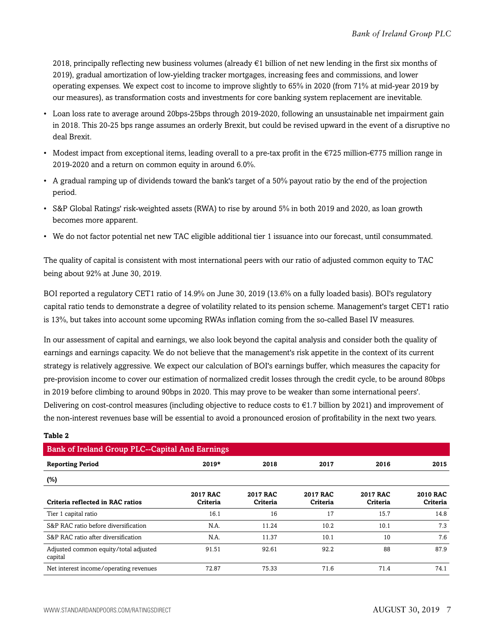2018, principally reflecting new business volumes (already €1 billion of net new lending in the first six months of 2019), gradual amortization of low-yielding tracker mortgages, increasing fees and commissions, and lower operating expenses. We expect cost to income to improve slightly to 65% in 2020 (from 71% at mid-year 2019 by our measures), as transformation costs and investments for core banking system replacement are inevitable.

- Loan loss rate to average around 20bps-25bps through 2019-2020, following an unsustainable net impairment gain in 2018. This 20-25 bps range assumes an orderly Brexit, but could be revised upward in the event of a disruptive no deal Brexit.
- Modest impact from exceptional items, leading overall to a pre-tax profit in the  $\epsilon$ 725 million- $\epsilon$ 775 million range in 2019-2020 and a return on common equity in around 6.0%.
- A gradual ramping up of dividends toward the bank's target of a 50% payout ratio by the end of the projection period.
- S&P Global Ratings' risk-weighted assets (RWA) to rise by around 5% in both 2019 and 2020, as loan growth becomes more apparent.
- We do not factor potential net new TAC eligible additional tier 1 issuance into our forecast, until consummated.

The quality of capital is consistent with most international peers with our ratio of adjusted common equity to TAC being about 92% at June 30, 2019.

BOI reported a regulatory CET1 ratio of 14.9% on June 30, 2019 (13.6% on a fully loaded basis). BOI's regulatory capital ratio tends to demonstrate a degree of volatility related to its pension scheme. Management's target CET1 ratio is 13%, but takes into account some upcoming RWAs inflation coming from the so-called Basel IV measures.

In our assessment of capital and earnings, we also look beyond the capital analysis and consider both the quality of earnings and earnings capacity. We do not believe that the management's risk appetite in the context of its current strategy is relatively aggressive. We expect our calculation of BOI's earnings buffer, which measures the capacity for pre-provision income to cover our estimation of normalized credit losses through the credit cycle, to be around 80bps in 2019 before climbing to around 90bps in 2020. This may prove to be weaker than some international peers'. Delivering on cost-control measures (including objective to reduce costs to €1.7 billion by 2021) and improvement of the non-interest revenues base will be essential to avoid a pronounced erosion of profitability in the next two years.

| <b>Bank of Ireland Group PLC--Capital And Earnings</b> |                             |                             |                             |                             |                             |  |  |
|--------------------------------------------------------|-----------------------------|-----------------------------|-----------------------------|-----------------------------|-----------------------------|--|--|
| <b>Reporting Period</b>                                | $2019*$                     | 2018                        | 2017                        | 2016                        | 2015                        |  |  |
| $(\%)$                                                 |                             |                             |                             |                             |                             |  |  |
| Criteria reflected in RAC ratios                       | <b>2017 RAC</b><br>Criteria | <b>2017 RAC</b><br>Criteria | <b>2017 RAC</b><br>Criteria | <b>2017 RAC</b><br>Criteria | <b>2010 RAC</b><br>Criteria |  |  |
| Tier 1 capital ratio                                   | 16.1                        | 16                          | 17                          | 15.7                        | 14.8                        |  |  |
| S&P RAC ratio before diversification                   | N.A.                        | 11.24                       | 10.2                        | 10.1                        | 7.3                         |  |  |
| S&P RAC ratio after diversification                    | N.A.                        | 11.37                       | 10.1                        | 10                          | 7.6                         |  |  |
| Adjusted common equity/total adjusted<br>capital       | 91.51                       | 92.61                       | 92.2                        | 88                          | 87.9                        |  |  |
| Net interest income/operating revenues                 | 72.87                       | 75.33                       | 71.6                        | 71.4                        | 74.1                        |  |  |

#### **Table 2**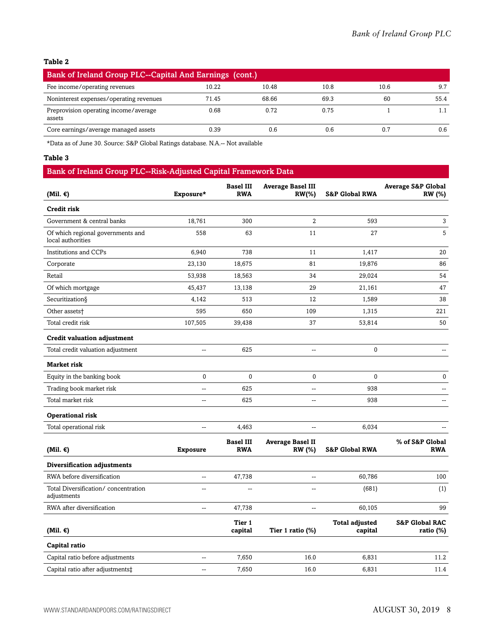| Bank of Ireland Group PLC--Capital And Earnings (cont.) |       |       |      |      |      |  |
|---------------------------------------------------------|-------|-------|------|------|------|--|
| Fee income/operating revenues                           | 10.22 | 10.48 | 10.8 | 10.6 | 9.7  |  |
| Noninterest expenses/operating revenues                 | 71.45 | 68.66 | 69.3 | 60   | 55.4 |  |
| Preprovision operating income/average<br>assets         | 0.68  | 0.72  | 0.75 |      |      |  |
| Core earnings/average managed assets                    | 0.39  | 0.6   | 0.6  | 0.7  | 0.6  |  |

\*Data as of June 30. Source: S&P Global Ratings database. N.A.-- Not available

#### **Table 3**

| Bank of Ireland Group PLC--Risk-Adjusted Capital Framework Data |                 |                                |                                          |                                  |                                                |  |  |
|-----------------------------------------------------------------|-----------------|--------------------------------|------------------------------------------|----------------------------------|------------------------------------------------|--|--|
| (Mil. $\epsilon$ )                                              | Exposure*       | <b>Basel III</b><br><b>RWA</b> | <b>Average Basel III</b><br>$RW(\% )$    | <b>S&amp;P Global RWA</b>        | <b>Average S&amp;P Global</b><br><b>RW</b> (%) |  |  |
| Credit risk                                                     |                 |                                |                                          |                                  |                                                |  |  |
| Government & central banks                                      | 18,761          | 300                            | $\overline{2}$                           | 593                              | 3                                              |  |  |
| Of which regional governments and<br>local authorities          | 558             | 63                             | 11                                       | 27                               | 5                                              |  |  |
| Institutions and CCPs                                           | 6,940           | 738                            | 11                                       | 1,417                            | 20                                             |  |  |
| Corporate                                                       | 23,130          | 18,675                         | 81                                       | 19,876                           | 86                                             |  |  |
| Retail                                                          | 53,938          | 18,563                         | 34                                       | 29,024                           | 54                                             |  |  |
| Of which mortgage                                               | 45,437          | 13,138                         | 29                                       | 21,161                           | 47                                             |  |  |
| Securitization§                                                 | 4,142           | 513                            | 12                                       | 1,589                            | 38                                             |  |  |
| Other assets†                                                   | 595             | 650                            | 109                                      | 1,315                            | 221                                            |  |  |
| Total credit risk                                               | 107,505         | 39,438                         | 37                                       | 53,814                           | 50                                             |  |  |
| <b>Credit valuation adjustment</b>                              |                 |                                |                                          |                                  |                                                |  |  |
| Total credit valuation adjustment                               | --              | 625                            | --                                       | 0                                | --                                             |  |  |
| <b>Market risk</b>                                              |                 |                                |                                          |                                  |                                                |  |  |
| Equity in the banking book                                      | $\mathbf{0}$    | $\mathbf 0$                    | $\mathbf 0$                              | 0                                | 0                                              |  |  |
| Trading book market risk                                        | --              | 625                            | --                                       | 938                              | --                                             |  |  |
| Total market risk                                               | --              | 625                            | $\overline{a}$                           | 938                              | $\overline{a}$                                 |  |  |
| <b>Operational risk</b>                                         |                 |                                |                                          |                                  |                                                |  |  |
| Total operational risk                                          | --              | 4,463                          | ÷-                                       | 6,034                            | $\overline{a}$                                 |  |  |
| (Mil. €)                                                        | <b>Exposure</b> | <b>Basel III</b><br><b>RWA</b> | <b>Average Basel II</b><br><b>RW</b> (%) | <b>S&amp;P Global RWA</b>        | % of S&P Global<br><b>RWA</b>                  |  |  |
| Diversification adjustments                                     |                 |                                |                                          |                                  |                                                |  |  |
| RWA before diversification                                      | --              | 47,738                         | $\mathbf{u}$                             | 60,786                           | 100                                            |  |  |
| Total Diversification/concentration<br>adjustments              | Ξ.              |                                |                                          | (681)                            | (1)                                            |  |  |
| RWA after diversification                                       | --              | 47,738                         | --                                       | 60,105                           | 99                                             |  |  |
| (Mil. $\epsilon$ )                                              |                 | Tier 1<br>capital              | Tier 1 ratio (%)                         | <b>Total adjusted</b><br>capital | <b>S&amp;P Global RAC</b><br>ratio (%)         |  |  |
| Capital ratio                                                   |                 |                                |                                          |                                  |                                                |  |  |
| Capital ratio before adjustments                                | --              | 7,650                          | 16.0                                     | 6,831                            | 11.2                                           |  |  |
| Capital ratio after adjustments‡                                | --              | 7,650                          | 16.0                                     | 6,831                            | 11.4                                           |  |  |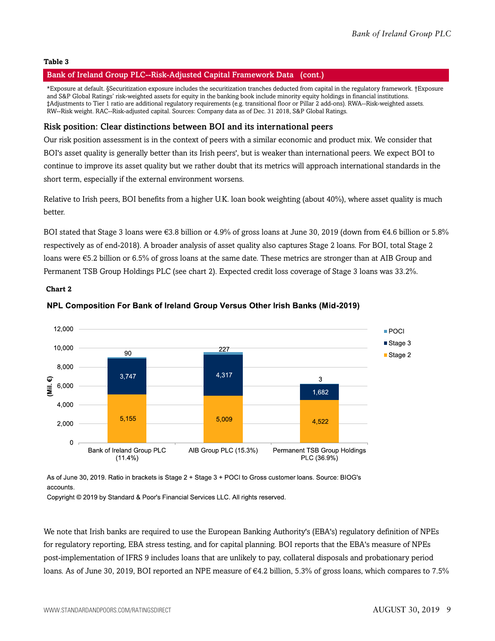#### Bank of Ireland Group PLC--Risk-Adjusted Capital Framework Data (cont.)

\*Exposure at default. §Securitization exposure includes the securitization tranches deducted from capital in the regulatory framework. †Exposure and S&P Global Ratings' risk-weighted assets for equity in the banking book include minority equity holdings in financial institutions. ‡Adjustments to Tier 1 ratio are additional regulatory requirements (e.g. transitional floor or Pillar 2 add-ons). RWA--Risk-weighted assets. RW--Risk weight. RAC--Risk-adjusted capital. Sources: Company data as of Dec. 31 2018, S&P Global Ratings.

#### Risk position: Clear distinctions between BOI and its international peers

Our risk position assessment is in the context of peers with a similar economic and product mix. We consider that BOI's asset quality is generally better than its Irish peers', but is weaker than international peers. We expect BOI to continue to improve its asset quality but we rather doubt that its metrics will approach international standards in the short term, especially if the external environment worsens.

Relative to Irish peers, BOI benefits from a higher U.K. loan book weighting (about 40%), where asset quality is much better.

BOI stated that Stage 3 loans were €3.8 billion or 4.9% of gross loans at June 30, 2019 (down from €4.6 billion or 5.8% respectively as of end-2018). A broader analysis of asset quality also captures Stage 2 loans. For BOI, total Stage 2 loans were €5.2 billion or 6.5% of gross loans at the same date. These metrics are stronger than at AIB Group and Permanent TSB Group Holdings PLC (see chart 2). Expected credit loss coverage of Stage 3 loans was 33.2%.

**Chart 2**



#### NPL Composition For Bank of Ireland Group Versus Other Irish Banks (Mid-2019)

As of June 30, 2019. Ratio in brackets is Stage 2 + Stage 3 + POCI to Gross customer loans. Source: BIOG's accounts.

Copyright © 2019 by Standard & Poor's Financial Services LLC. All rights reserved.

We note that Irish banks are required to use the European Banking Authority's (EBA's) regulatory definition of NPEs for regulatory reporting, EBA stress testing, and for capital planning. BOI reports that the EBA's measure of NPEs post-implementation of IFRS 9 includes loans that are unlikely to pay, collateral disposals and probationary period loans. As of June 30, 2019, BOI reported an NPE measure of €4.2 billion, 5.3% of gross loans, which compares to 7.5%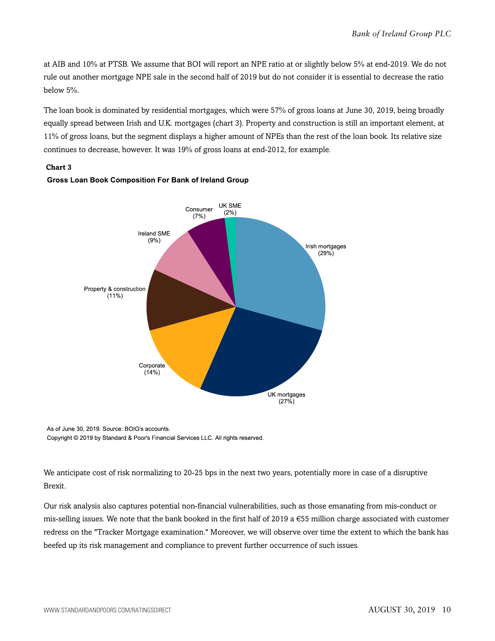at AIB and 10% at PTSB. We assume that BOI will report an NPE ratio at or slightly below 5% at end-2019. We do not rule out another mortgage NPE sale in the second half of 2019 but do not consider it is essential to decrease the ratio below 5%.

The loan book is dominated by residential mortgages, which were 57% of gross loans at June 30, 2019, being broadly equally spread between Irish and U.K. mortgages (chart 3). Property and construction is still an important element, at 11% of gross loans, but the segment displays a higher amount of NPEs than the rest of the loan book. Its relative size continues to decrease, however. It was 19% of gross loans at end-2012, for example.

#### **Chart 3**



#### **Gross Loan Book Composition For Bank of Ireland Group**

As of June 30, 2019. Source: BOIG's accounts. Copyright © 2019 by Standard & Poor's Financial Services LLC. All rights reserved.

We anticipate cost of risk normalizing to 20-25 bps in the next two years, potentially more in case of a disruptive Brexit.

Our risk analysis also captures potential non-financial vulnerabilities, such as those emanating from mis-conduct or mis-selling issues. We note that the bank booked in the first half of 2019 a  $\epsilon$ 55 million charge associated with customer redress on the "Tracker Mortgage examination." Moreover, we will observe over time the extent to which the bank has beefed up its risk management and compliance to prevent further occurrence of such issues.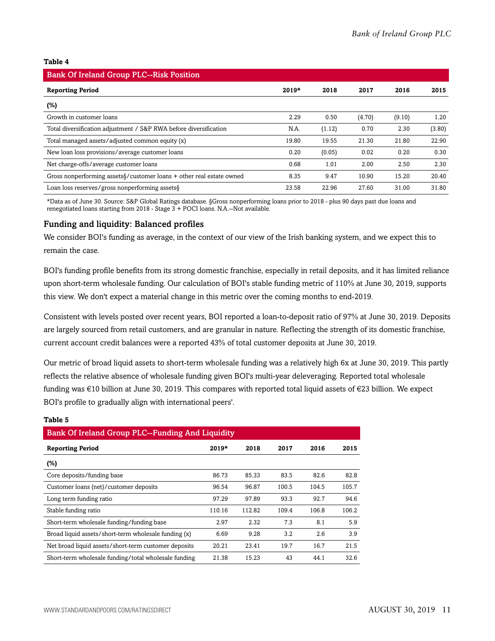| <b>Bank Of Ireland Group PLC--Risk Position</b>                                   |         |        |        |        |        |  |  |
|-----------------------------------------------------------------------------------|---------|--------|--------|--------|--------|--|--|
| <b>Reporting Period</b>                                                           | $2019*$ | 2018   | 2017   | 2016   | 2015   |  |  |
| $(\%)$                                                                            |         |        |        |        |        |  |  |
| Growth in customer loans                                                          | 2.29    | 0.50   | (4.70) | (9.10) | 1.20   |  |  |
| Total diversification adjustment / S&P RWA before diversification                 | N.A.    | (1.12) | 0.70   | 2.30   | (3.80) |  |  |
| Total managed assets/adjusted common equity (x)                                   | 19.80   | 19.55  | 21.30  | 21.80  | 22.90  |  |  |
| New loan loss provisions/average customer loans                                   | 0.20    | (0.05) | 0.02   | 0.20   | 0.30   |  |  |
| Net charge-offs/average customer loans                                            | 0.68    | 1.01   | 2.00   | 2.50   | 2.30   |  |  |
| Gross nonperforming assets $\frac{1}{2}$ customer loans + other real estate owned | 8.35    | 9.47   | 10.90  | 15.20  | 20.40  |  |  |
| Loan loss reserves/gross nonperforming assets §                                   | 23.58   | 22.96  | 27.60  | 31.00  | 31.80  |  |  |

\*Data as of June 30. Source: S&P Global Ratings database. §Gross nonperforming loans prior to 2018 - plus 90 days past due loans and renegotiated loans starting from 2018 - Stage 3 + POCI loans. N.A.--Not available.

#### Funding and liquidity: Balanced profiles

We consider BOI's funding as average, in the context of our view of the Irish banking system, and we expect this to remain the case.

BOI's funding profile benefits from its strong domestic franchise, especially in retail deposits, and it has limited reliance upon short-term wholesale funding. Our calculation of BOI's stable funding metric of 110% at June 30, 2019, supports this view. We don't expect a material change in this metric over the coming months to end-2019.

Consistent with levels posted over recent years, BOI reported a loan-to-deposit ratio of 97% at June 30, 2019. Deposits are largely sourced from retail customers, and are granular in nature. Reflecting the strength of its domestic franchise, current account credit balances were a reported 43% of total customer deposits at June 30, 2019.

Our metric of broad liquid assets to short-term wholesale funding was a relatively high 6x at June 30, 2019. This partly reflects the relative absence of wholesale funding given BOI's multi-year deleveraging. Reported total wholesale funding was €10 billion at June 30, 2019. This compares with reported total liquid assets of €23 billion. We expect BOI's profile to gradually align with international peers'.

| <b>Bank Of Ireland Group PLC--Funding And Liquidity</b> |         |        |       |       |       |  |  |
|---------------------------------------------------------|---------|--------|-------|-------|-------|--|--|
| <b>Reporting Period</b>                                 | $2019*$ | 2018   | 2017  | 2016  | 2015  |  |  |
| (%)                                                     |         |        |       |       |       |  |  |
| Core deposits/funding base                              | 86.73   | 85.33  | 83.5  | 82.6  | 82.8  |  |  |
| Customer loans (net)/customer deposits                  | 96.54   | 96.87  | 100.5 | 104.5 | 105.7 |  |  |
| Long term funding ratio                                 | 97.29   | 97.89  | 93.3  | 92.7  | 94.6  |  |  |
| Stable funding ratio                                    | 110.16  | 112.82 | 109.4 | 106.8 | 106.2 |  |  |
| Short-term wholesale funding/funding base               | 2.97    | 2.32   | 7.3   | 8.1   | 5.9   |  |  |
| Broad liquid assets/short-term wholesale funding (x)    | 6.69    | 9.28   | 3.2   | 2.6   | 3.9   |  |  |
| Net broad liquid assets/short-term customer deposits    | 20.21   | 23.41  | 19.7  | 16.7  | 21.5  |  |  |
| Short-term wholesale funding/total wholesale funding    | 21.38   | 15.23  | 43    | 44.1  | 32.6  |  |  |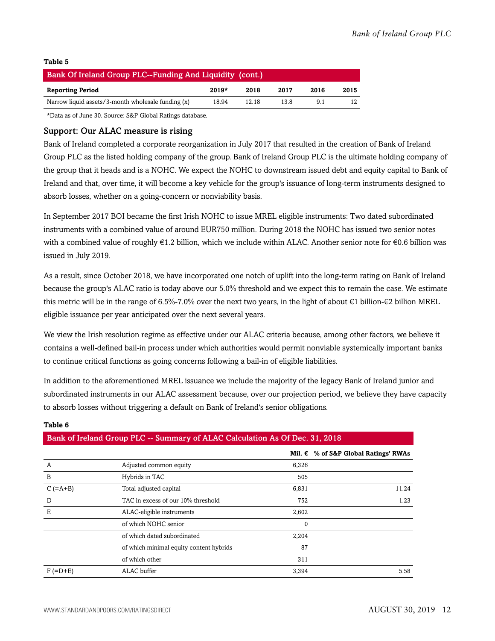| Bank Of Ireland Group PLC--Funding And Liquidity (cont.)           |       |       |     |    |    |  |
|--------------------------------------------------------------------|-------|-------|-----|----|----|--|
| $2019*$<br><b>Reporting Period</b><br>2018<br>2017<br>2015<br>2016 |       |       |     |    |    |  |
| Narrow liquid assets/3-month wholesale funding (x)                 | 18.94 | 12.18 | 138 | 91 | 12 |  |

\*Data as of June 30. Source: S&P Global Ratings database.

#### Support: Our ALAC measure is rising

Bank of Ireland completed a corporate reorganization in July 2017 that resulted in the creation of Bank of Ireland Group PLC as the listed holding company of the group. Bank of Ireland Group PLC is the ultimate holding company of the group that it heads and is a NOHC. We expect the NOHC to downstream issued debt and equity capital to Bank of Ireland and that, over time, it will become a key vehicle for the group's issuance of long-term instruments designed to absorb losses, whether on a going-concern or nonviability basis.

In September 2017 BOI became the first Irish NOHC to issue MREL eligible instruments: Two dated subordinated instruments with a combined value of around EUR750 million. During 2018 the NOHC has issued two senior notes with a combined value of roughly  $\epsilon$ 1.2 billion, which we include within ALAC. Another senior note for  $\epsilon$ 0.6 billion was issued in July 2019.

As a result, since October 2018, we have incorporated one notch of uplift into the long-term rating on Bank of Ireland because the group's ALAC ratio is today above our 5.0% threshold and we expect this to remain the case. We estimate this metric will be in the range of 6.5%-7.0% over the next two years, in the light of about €1 billion-€2 billion MREL eligible issuance per year anticipated over the next several years.

We view the Irish resolution regime as effective under our ALAC criteria because, among other factors, we believe it contains a well-defined bail-in process under which authorities would permit nonviable systemically important banks to continue critical functions as going concerns following a bail-in of eligible liabilities.

In addition to the aforementioned MREL issuance we include the majority of the legacy Bank of Ireland junior and subordinated instruments in our ALAC assessment because, over our projection period, we believe they have capacity to absorb losses without triggering a default on Bank of Ireland's senior obligations.

| Bank of Ireland Group PLC -- Summary of ALAC Calculation As Of Dec. 31, 2018 |                                         |       |                                        |  |  |
|------------------------------------------------------------------------------|-----------------------------------------|-------|----------------------------------------|--|--|
|                                                                              |                                         |       | Mil. $€$ % of S&P Global Ratings' RWAs |  |  |
| A                                                                            | Adjusted common equity                  | 6,326 |                                        |  |  |
| B                                                                            | Hybrids in TAC                          | 505   |                                        |  |  |
| $C$ (=A+B)                                                                   | Total adjusted capital                  | 6,831 | 11.24                                  |  |  |
| D                                                                            | TAC in excess of our 10% threshold      | 752   | 1.23                                   |  |  |
| Е                                                                            | ALAC-eligible instruments               | 2,602 |                                        |  |  |
|                                                                              | of which NOHC senior                    | 0     |                                        |  |  |
|                                                                              | of which dated subordinated             | 2,204 |                                        |  |  |
|                                                                              | of which minimal equity content hybrids | 87    |                                        |  |  |
|                                                                              | of which other                          | 311   |                                        |  |  |
| $F (=D+E)$                                                                   | ALAC buffer                             | 3,394 | 5.58                                   |  |  |

#### **Table 6**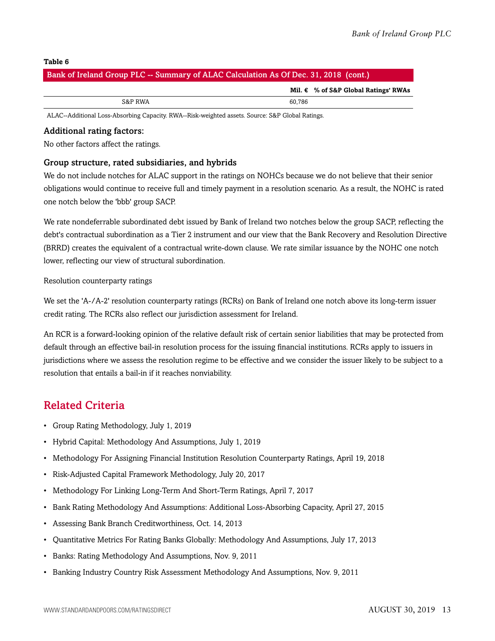#### Bank of Ireland Group PLC -- Summary of ALAC Calculation As Of Dec. 31, 2018 (cont.)

**Mil. € % of S&P Global Ratings' RWAs**

S&P RWA 60,786

ALAC--Additional Loss-Absorbing Capacity. RWA--Risk-weighted assets. Source: S&P Global Ratings.

#### Additional rating factors:

No other factors affect the ratings.

#### Group structure, rated subsidiaries, and hybrids

We do not include notches for ALAC support in the ratings on NOHCs because we do not believe that their senior obligations would continue to receive full and timely payment in a resolution scenario. As a result, the NOHC is rated one notch below the 'bbb' group SACP.

We rate nondeferrable subordinated debt issued by Bank of Ireland two notches below the group SACP, reflecting the debt's contractual subordination as a Tier 2 instrument and our view that the Bank Recovery and Resolution Directive (BRRD) creates the equivalent of a contractual write-down clause. We rate similar issuance by the NOHC one notch lower, reflecting our view of structural subordination.

#### Resolution counterparty ratings

We set the 'A-/A-2' resolution counterparty ratings (RCRs) on Bank of Ireland one notch above its long-term issuer credit rating. The RCRs also reflect our jurisdiction assessment for Ireland.

An RCR is a forward-looking opinion of the relative default risk of certain senior liabilities that may be protected from default through an effective bail-in resolution process for the issuing financial institutions. RCRs apply to issuers in jurisdictions where we assess the resolution regime to be effective and we consider the issuer likely to be subject to a resolution that entails a bail-in if it reaches nonviability.

### <span id="page-12-0"></span>Related Criteria

- Group Rating Methodology, July 1, 2019
- Hybrid Capital: Methodology And Assumptions, July 1, 2019
- Methodology For Assigning Financial Institution Resolution Counterparty Ratings, April 19, 2018
- Risk-Adjusted Capital Framework Methodology, July 20, 2017
- Methodology For Linking Long-Term And Short-Term Ratings, April 7, 2017
- Bank Rating Methodology And Assumptions: Additional Loss-Absorbing Capacity, April 27, 2015
- Assessing Bank Branch Creditworthiness, Oct. 14, 2013
- Quantitative Metrics For Rating Banks Globally: Methodology And Assumptions, July 17, 2013
- Banks: Rating Methodology And Assumptions, Nov. 9, 2011
- Banking Industry Country Risk Assessment Methodology And Assumptions, Nov. 9, 2011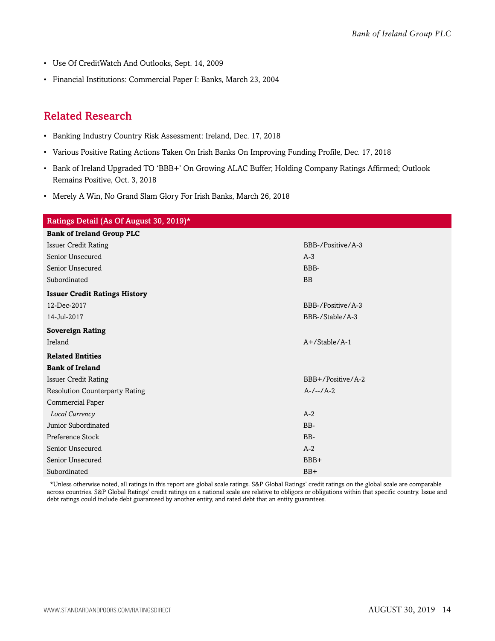- Use Of CreditWatch And Outlooks, Sept. 14, 2009
- Financial Institutions: Commercial Paper I: Banks, March 23, 2004

### <span id="page-13-0"></span>Related Research

- Banking Industry Country Risk Assessment: Ireland, Dec. 17, 2018
- Various Positive Rating Actions Taken On Irish Banks On Improving Funding Profile, Dec. 17, 2018
- Bank of Ireland Upgraded TO 'BBB+' On Growing ALAC Buffer; Holding Company Ratings Affirmed; Outlook Remains Positive, Oct. 3, 2018
- Merely A Win, No Grand Slam Glory For Irish Banks, March 26, 2018

| Ratings Detail (As Of August 30, 2019)* |                   |  |  |  |  |
|-----------------------------------------|-------------------|--|--|--|--|
| <b>Bank of Ireland Group PLC</b>        |                   |  |  |  |  |
| <b>Issuer Credit Rating</b>             | BBB-/Positive/A-3 |  |  |  |  |
| Senior Unsecured                        | $A-3$             |  |  |  |  |
| Senior Unsecured                        | BBB-              |  |  |  |  |
| Subordinated                            | <b>BB</b>         |  |  |  |  |
| <b>Issuer Credit Ratings History</b>    |                   |  |  |  |  |
| 12-Dec-2017                             | BBB-/Positive/A-3 |  |  |  |  |
| 14-Jul-2017                             | BBB-/Stable/A-3   |  |  |  |  |
| <b>Sovereign Rating</b>                 |                   |  |  |  |  |
| Ireland                                 | $A+$ /Stable/A-1  |  |  |  |  |
| <b>Related Entities</b>                 |                   |  |  |  |  |
| <b>Bank of Ireland</b>                  |                   |  |  |  |  |
| <b>Issuer Credit Rating</b>             | BBB+/Positive/A-2 |  |  |  |  |
| <b>Resolution Counterparty Rating</b>   | $A-/-/A-2$        |  |  |  |  |
| Commercial Paper                        |                   |  |  |  |  |
| Local Currency                          | $A-2$             |  |  |  |  |
| Junior Subordinated                     | BB-               |  |  |  |  |
| Preference Stock                        | BB-               |  |  |  |  |
| Senior Unsecured                        | $A-2$             |  |  |  |  |
| Senior Unsecured                        | BBB+              |  |  |  |  |
| Subordinated                            | $BB+$             |  |  |  |  |

\*Unless otherwise noted, all ratings in this report are global scale ratings. S&P Global Ratings' credit ratings on the global scale are comparable across countries. S&P Global Ratings' credit ratings on a national scale are relative to obligors or obligations within that specific country. Issue and debt ratings could include debt guaranteed by another entity, and rated debt that an entity guarantees.